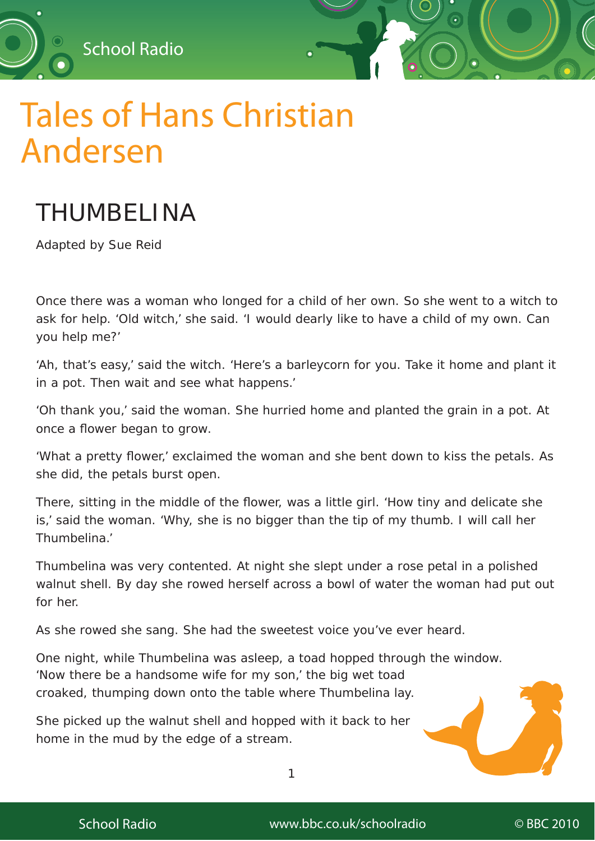

## Tales of Hans Christian Andersen

## THUMBELINA

Adapted by Sue Reid

Once there was a woman who longed for a child of her own. So she went to a witch to ask for help. 'Old witch,' she said. 'I would dearly like to have a child of my own. Can you help me?'

'Ah, that's easy,' said the witch. 'Here's a barleycorn for you. Take it home and plant it in a pot. Then wait and see what happens.'

'Oh thank you,' said the woman. She hurried home and planted the grain in a pot. At once a flower began to grow.

'What a pretty flower,' exclaimed the woman and she bent down to kiss the petals. As she did, the petals burst open.

There, sitting in the middle of the flower, was a little girl. 'How tiny and delicate she is,' said the woman. 'Why, she is no bigger than the tip of my thumb. I will call her Thumbelina.'

Thumbelina was very contented. At night she slept under a rose petal in a polished walnut shell. By day she rowed herself across a bowl of water the woman had put out for her.

As she rowed she sang. She had the sweetest voice you've ever heard.

One night, while Thumbelina was asleep, a toad hopped through the window. 'Now there be a handsome wife for my son,' the big wet toad croaked, thumping down onto the table where Thumbelina lay.

She picked up the walnut shell and hopped with it back to her home in the mud by the edge of a stream.

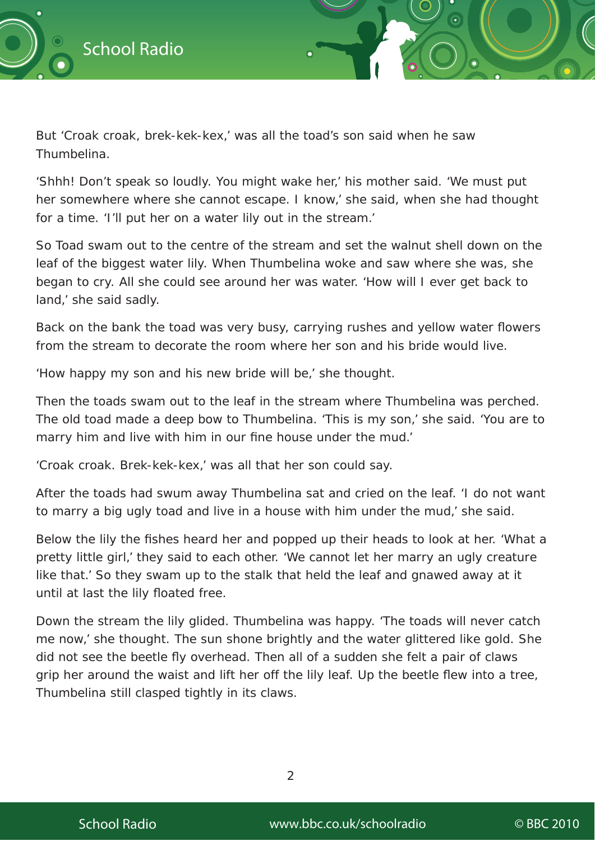

But 'Croak croak, brek-kek-kex,' was all the toad's son said when he saw Thumbelina.

'Shhh! Don't speak so loudly. You might wake her,' his mother said. 'We must put her somewhere where she cannot escape. I know,' she said, when she had thought for a time. 'I'll put her on a water lily out in the stream.'

So Toad swam out to the centre of the stream and set the walnut shell down on the leaf of the biggest water lily. When Thumbelina woke and saw where she was, she began to cry. All she could see around her was water. 'How will I ever get back to land,' she said sadly.

Back on the bank the toad was very busy, carrying rushes and yellow water flowers from the stream to decorate the room where her son and his bride would live.

'How happy my son and his new bride will be,' she thought.

Then the toads swam out to the leaf in the stream where Thumbelina was perched. The old toad made a deep bow to Thumbelina. 'This is my son,' she said. 'You are to marry him and live with him in our fine house under the mud.'

'Croak croak. Brek-kek-kex,' was all that her son could say.

After the toads had swum away Thumbelina sat and cried on the leaf. 'I do not want to marry a big ugly toad and live in a house with him under the mud,' she said.

Below the lily the fishes heard her and popped up their heads to look at her. 'What a pretty little girl,' they said to each other. 'We cannot let her marry an ugly creature like that.' So they swam up to the stalk that held the leaf and gnawed away at it until at last the lily floated free.

Down the stream the lily glided. Thumbelina was happy. 'The toads will never catch me now,' she thought. The sun shone brightly and the water glittered like gold. She did not see the beetle fly overhead. Then all of a sudden she felt a pair of claws grip her around the waist and lift her off the lily leaf. Up the beetle flew into a tree, Thumbelina still clasped tightly in its claws.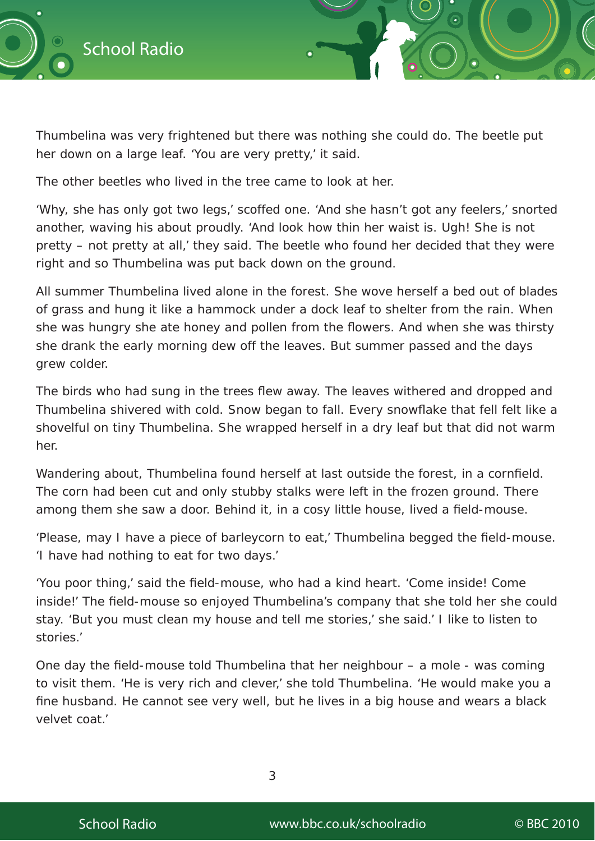

Thumbelina was very frightened but there was nothing she could do. The beetle put her down on a large leaf. 'You are very pretty,' it said.

The other beetles who lived in the tree came to look at her.

'Why, she has only got two legs,' scoffed one. 'And she hasn't got any feelers,' snorted another, waving his about proudly. 'And look how thin her waist is. Ugh! She is not pretty – not pretty at all,' they said. The beetle who found her decided that they were right and so Thumbelina was put back down on the ground.

All summer Thumbelina lived alone in the forest. She wove herself a bed out of blades of grass and hung it like a hammock under a dock leaf to shelter from the rain. When she was hungry she ate honey and pollen from the flowers. And when she was thirsty she drank the early morning dew off the leaves. But summer passed and the days grew colder.

The birds who had sung in the trees flew away. The leaves withered and dropped and Thumbelina shivered with cold. Snow began to fall. Every snowflake that fell felt like a shovelful on tiny Thumbelina. She wrapped herself in a dry leaf but that did not warm her.

Wandering about, Thumbelina found herself at last outside the forest, in a cornfield. The corn had been cut and only stubby stalks were left in the frozen ground. There among them she saw a door. Behind it, in a cosy little house, lived a field-mouse.

'Please, may I have a piece of barleycorn to eat,' Thumbelina begged the field-mouse. 'I have had nothing to eat for two days.'

'You poor thing,' said the field-mouse, who had a kind heart. 'Come inside! Come inside!' The field-mouse so enjoyed Thumbelina's company that she told her she could stay. 'But you must clean my house and tell me stories,' she said.' I like to listen to stories.'

One day the field-mouse told Thumbelina that her neighbour  $-$  a mole - was coming to visit them. 'He is very rich and clever,' she told Thumbelina. 'He would make you a fine husband. He cannot see very well, but he lives in a big house and wears a black velvet coat.'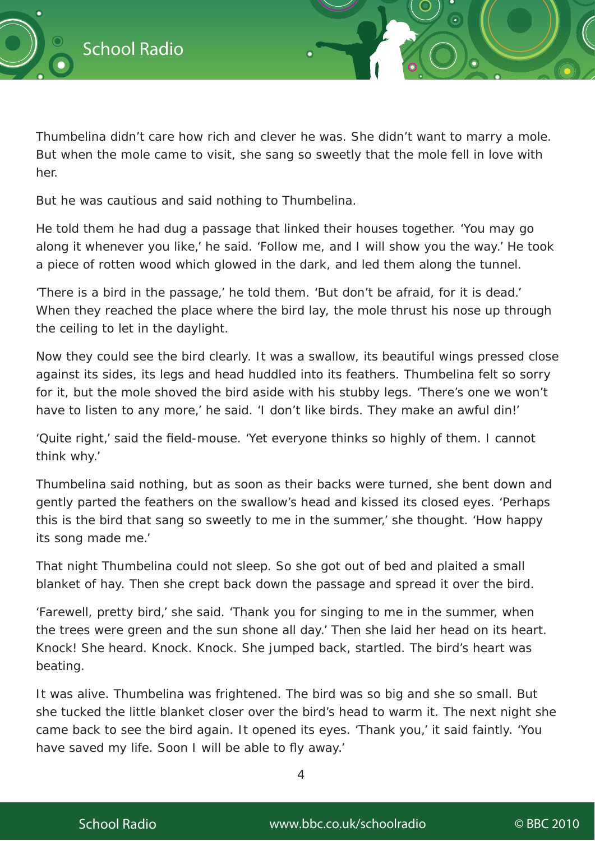

Thumbelina didn't care how rich and clever he was. She didn't want to marry a mole. But when the mole came to visit, she sang so sweetly that the mole fell in love with her.

But he was cautious and said nothing to Thumbelina.

He told them he had dug a passage that linked their houses together. 'You may go along it whenever you like,' he said. 'Follow me, and I will show you the way.' He took a piece of rotten wood which glowed in the dark, and led them along the tunnel.

'There is a bird in the passage,' he told them. 'But don't be afraid, for it is dead.' When they reached the place where the bird lay, the mole thrust his nose up through the ceiling to let in the daylight.

Now they could see the bird clearly. It was a swallow, its beautiful wings pressed close against its sides, its legs and head huddled into its feathers. Thumbelina felt so sorry for it, but the mole shoved the bird aside with his stubby legs. 'There's one we won't have to listen to any more,' he said. 'I don't like birds. They make an awful din!'

'Quite right,' said the field-mouse. 'Yet everyone thinks so highly of them. I cannot think why.'

Thumbelina said nothing, but as soon as their backs were turned, she bent down and gently parted the feathers on the swallow's head and kissed its closed eyes. 'Perhaps this is the bird that sang so sweetly to me in the summer,' she thought. 'How happy its song made me.'

That night Thumbelina could not sleep. So she got out of bed and plaited a small blanket of hay. Then she crept back down the passage and spread it over the bird.

'Farewell, pretty bird,' she said. 'Thank you for singing to me in the summer, when the trees were green and the sun shone all day.' Then she laid her head on its heart. Knock! She heard. Knock. Knock. She jumped back, startled. The bird's heart was beating.

It was alive. Thumbelina was frightened. The bird was so big and she so small. But she tucked the little blanket closer over the bird's head to warm it. The next night she came back to see the bird again. It opened its eyes. 'Thank you,' it said faintly. 'You have saved my life. Soon I will be able to fly away.'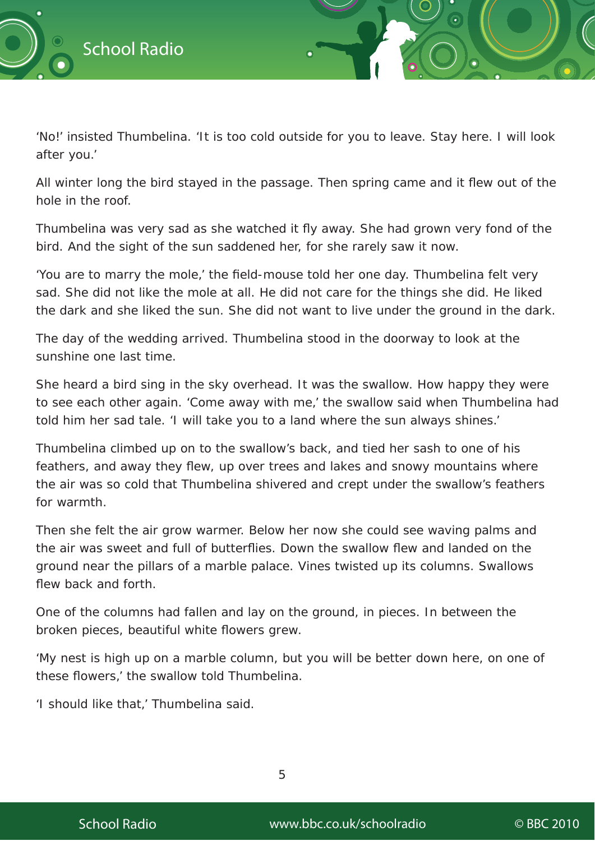

'No!' insisted Thumbelina. 'It is too cold outside for you to leave. Stay here. I will look after you.'

All winter long the bird stayed in the passage. Then spring came and it flew out of the hole in the roof.

Thumbelina was very sad as she watched it fly away. She had grown very fond of the bird. And the sight of the sun saddened her, for she rarely saw it now.

'You are to marry the mole,' the field-mouse told her one day. Thumbelina felt very sad. She did not like the mole at all. He did not care for the things she did. He liked the dark and she liked the sun. She did not want to live under the ground in the dark.

The day of the wedding arrived. Thumbelina stood in the doorway to look at the sunshine one last time.

She heard a bird sing in the sky overhead. It was the swallow. How happy they were to see each other again. 'Come away with me,' the swallow said when Thumbelina had told him her sad tale. 'I will take you to a land where the sun always shines.'

Thumbelina climbed up on to the swallow's back, and tied her sash to one of his feathers, and away they flew, up over trees and lakes and snowy mountains where the air was so cold that Thumbelina shivered and crept under the swallow's feathers for warmth.

Then she felt the air grow warmer. Below her now she could see waving palms and the air was sweet and full of butterflies. Down the swallow flew and landed on the ground near the pillars of a marble palace. Vines twisted up its columns. Swallows flew back and forth.

One of the columns had fallen and lay on the ground, in pieces. In between the broken pieces, beautiful white flowers grew.

'My nest is high up on a marble column, but you will be better down here, on one of these flowers,' the swallow told Thumbelina.

'I should like that,' Thumbelina said.